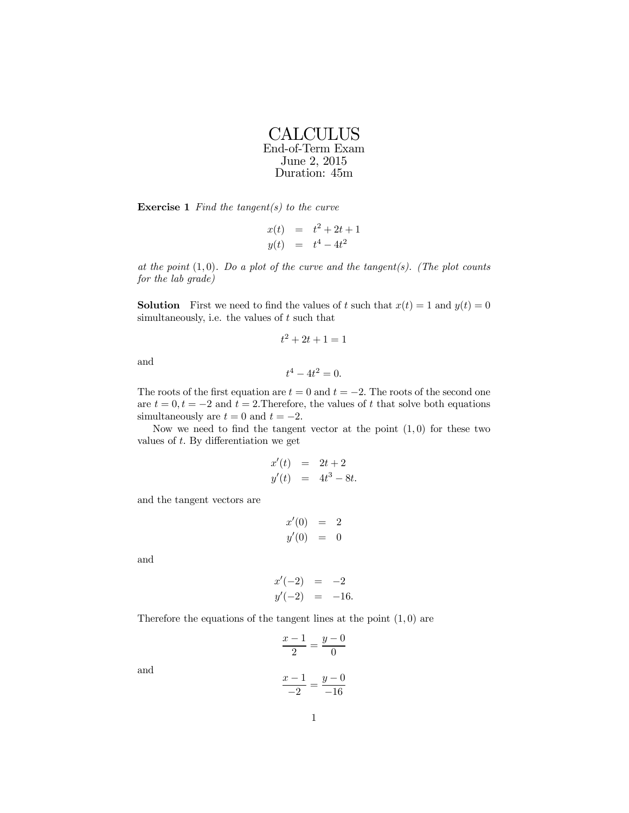**CALCULUS** End-of-Term Exam June 2, 2015 Duration: 45m

**Exercise 1** Find the tangent(s) to the curve

$$
x(t) = t2 + 2t + 1y(t) = t4 - 4t2
$$

at the point  $(1,0)$ . Do a plot of the curve and the tangent(s). (The plot counts for the lab grade)

**Solution** First we need to find the values of t such that  $x(t)=1$  and  $y(t)=0$ simultaneously, i.e. the values of  $t$  such that

$$
t^2 + 2t + 1 = 1
$$

and

$$
t^4 - 4t^2 = 0.
$$

The roots of the first equation are  $t = 0$  and  $t = -2$ . The roots of the second one are  $t = 0, t = -2$  and  $t = 2$ . Therefore, the values of t that solve both equations simultaneously are  $t = 0$  and  $t = -2$ .

Now we need to find the tangent vector at the point  $(1,0)$  for these two values of t. By differentiation we get

$$
x'(t) = 2t + 2
$$
  

$$
y'(t) = 4t^3 - 8t.
$$

and the tangent vectors are

$$
x'(0) = 2
$$
  

$$
y'(0) = 0
$$

and

$$
x'(-2) = -2 \n y'(-2) = -16.
$$

Therefore the equations of the tangent lines at the point  $(1,0)$  are

$$
\frac{x-1}{2} = \frac{y-0}{0}
$$

and

$$
\frac{x-1}{-2} = \frac{y-0}{-16}
$$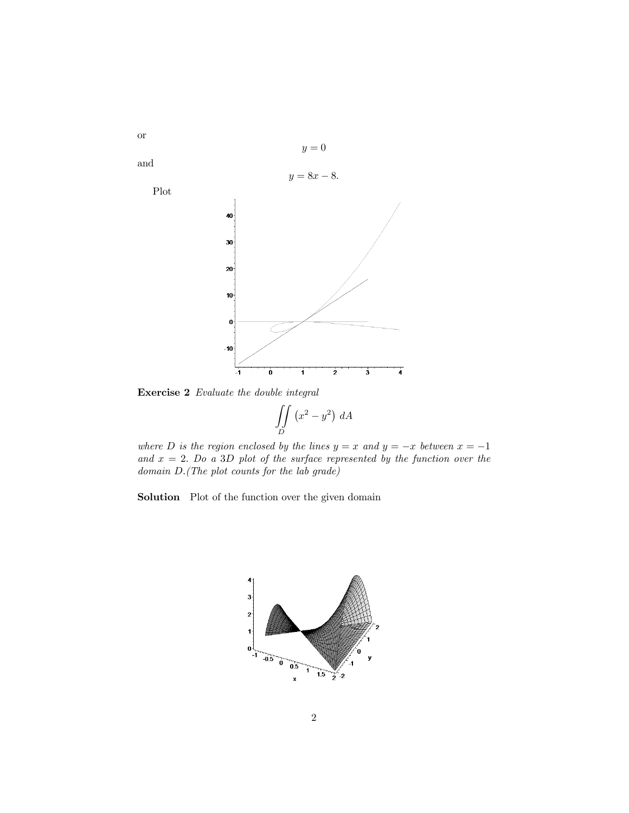

Exercise 2 Evaluate the double integral

$$
\iint\limits_D \left(x^2 - y^2\right) \, dA
$$

where D is the region enclosed by the lines  $y = x$  and  $y = -x$  between  $x = -1$ and  $x = 2$ . Do a 3D plot of the surface represented by the function over the domain D.(The plot counts for the lab grade)

Solution Plot of the function over the given domain



or